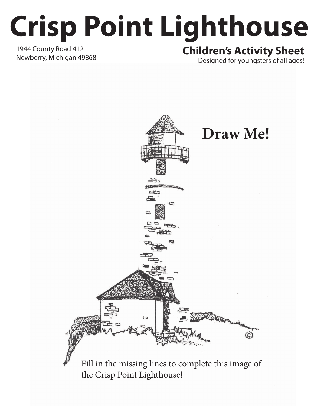## **Crisp Point Lighthouse**

1944 County Road 412

## Newberry, Michigan 49868 **Children's Activity Sheet**

Designed for youngsters of all ages!